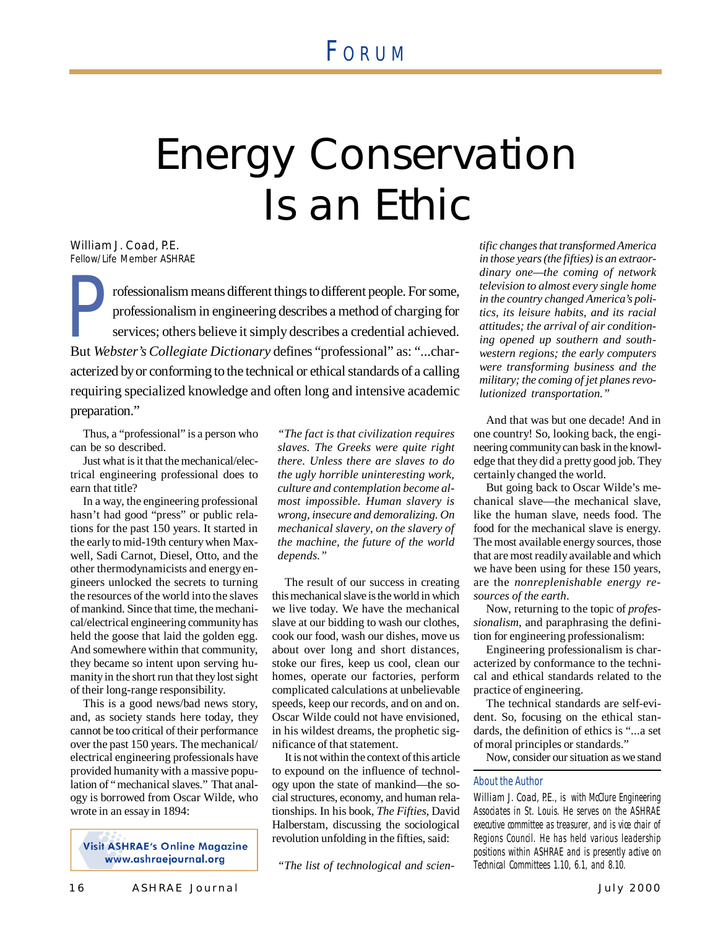# F ORU <sup>M</sup>

# Energy Conservation Is an Ethic

*William J. Coad, P.E. Fellow/Life Member ASHRAE*

P rofessionalism means different things to different people. For some, professionalism in engineering describes a method of charging for services; others believe it simply describes a credential achieved. But *Webster's Collegiate Dictionary* defines "professional" as: "...characterized by or conforming to the technical or ethical standards of a calling requiring specialized knowledge and often long and intensive academic preparation."

Thus, a "professional" is a person who can be so described.

Just what is it that the mechanical/electrical engineering professional does to earn that title?

In a way, the engineering professional hasn't had good "press" or public relations for the past 150 years. It started in the early to mid-19th century when Maxwell, Sadi Carnot, Diesel, Otto, and the other thermodynamicists and energy engineers unlocked the secrets to turning the resources of the world into the slaves of mankind. Since that time, the mechanical/electrical engineering community has held the goose that laid the golden egg. And somewhere within that community, they became so intent upon serving humanity in the short run that they lost sight of their long-range responsibility.

This is a good news/bad news story, and, as society stands here today, they cannot be too critical of their performance over the past 150 years. The mechanical/ electrical engineering professionals have provided humanity with a massive population of "mechanical slaves." That analogy is borrowed from Oscar Wilde, who wrote in an essay in 1894:

**Visit ASHRAE's Online Magazine** www.ashraejournal.org

*"The fact is that civilization requires slaves. The Greeks were quite right there. Unless there are slaves to do the ugly horrible uninteresting work, culture and contemplation become almost impossible. Human slavery is wrong, insecure and demoralizing. On mechanical slavery, on the slavery of the machine, the future of the world depends."*

The result of our success in creating this mechanical slave is the world in which we live today. We have the mechanical slave at our bidding to wash our clothes, cook our food, wash our dishes, move us about over long and short distances, stoke our fires, keep us cool, clean our homes, operate our factories, perform complicated calculations at unbelievable speeds, keep our records, and on and on. Oscar Wilde could not have envisioned, in his wildest dreams, the prophetic significance of that statement.

It is not within the context of this article to expound on the influence of technology upon the state of mankind— the social structures, economy, and human relationships. In his book, *The Fifties*, David Halberstam, discussing the sociological revolution unfolding in the fifties, said:

*"The list of technological and scien-*

*tific changes that transformed America in those years (the fifties) is an extraordinary one— the coming of network television to almost every single home in the country changed America's politics, its leisure habits, and its racial attitudes; the arrival of air conditioning opened up southern and southwestern regions; the early computers were transforming business and the military; the coming of jet planes revolutionized transportation."*

And that was but one decade! And in one country! So, looking back, the engineering community can bask in the knowledge that they did a pretty good job. They certainly changed the world.

But going back to Oscar Wilde's mechanical slave— the mechanical slave, like the human slave, needs food. The food for the mechanical slave is energy. The most available energy sources, those that are most readily available and which we have been using for these 150 years, are the *nonreplenishable energy resources of the earth*.

Now, returning to the topic of *professionalism*, and paraphrasing the definition for engineering professionalism:

Engineering professionalism is characterized by conformance to the technical and ethical standards related to the practice of engineering.

The technical standards are self-evident. So, focusing on the ethical standards, the definition of ethics is "...a set of moral principles or standards."

Now, consider our situation as we stand

#### About the Author

William J. Coad, P.E., is with McClure Engineering Associates in St. Louis. He serves on the ASHRAE executive committee as treasurer, and is vice chair of Regions Council. He has held various leadership positions within ASHRAE and is presently active on Technical Committees 1.10, 6.1, and 8.10.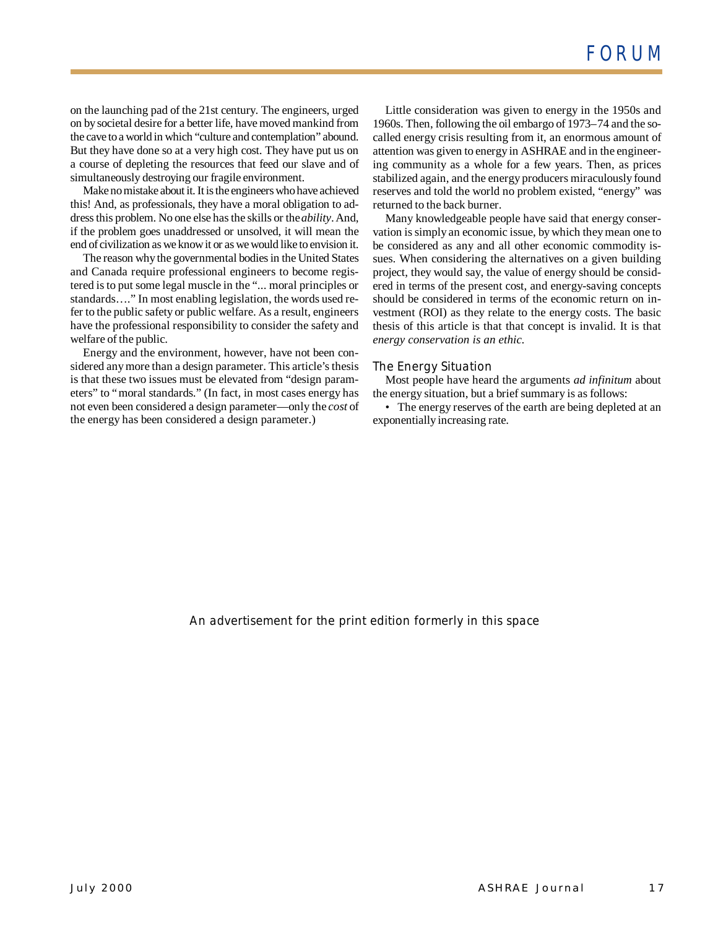on the launching pad of the 21st century. The engineers, urged on by societal desire for a better life, have moved mankind from the cave to a world in which "culture and contemplation" abound. But they have done so at a very high cost. They have put us on a course of depleting the resources that feed our slave and of simultaneously destroying our fragile environment.

Make no mistake about it. It is the engineers who have achieved this! And, as professionals, they have a moral obligation to address this problem. No one else has the skills or the *ability*. And, if the problem goes unaddressed or unsolved, it will mean the end of civilization as we know it or as we would like to envision it.

The reason why the governmental bodies in the United States and Canada require professional engineers to become registered is to put some legal muscle in the "... moral principles or standards… ." In most enabling legislation, the words used refer to the public safety or public welfare. As a result, engineers have the professional responsibility to consider the safety and welfare of the public.

Energy and the environment, however, have not been considered any more than a design parameter. This article's thesis is that these two issues must be elevated from "design parameters" to "moral standards." (In fact, in most cases energy has not even been considered a design parameter— only the *cost* of the energy has been considered a design parameter.)

Little consideration was given to energy in the 1950s and 1960s. Then, following the oil embargo of 1973–74 and the socalled energy crisis resulting from it, an enormous amount of attention was given to energy in ASHRAE and in the engineering community as a whole for a few years. Then, as prices stabilized again, and the energy producers miraculously found reserves and told the world no problem existed, "energy" was returned to the back burner.

Many knowledgeable people have said that energy conservation is simply an economic issue, by which they mean one to be considered as any and all other economic commodity issues. When considering the alternatives on a given building project, they would say, the value of energy should be considered in terms of the present cost, and energy-saving concepts should be considered in terms of the economic return on investment (ROI) as they relate to the energy costs. The basic thesis of this article is that that concept is invalid. It is that *energy conservation is an ethic.*

### *The Energy Situation*

Most people have heard the arguments *ad infinitum* about the energy situation, but a brief summary is as follows:

• The energy reserves of the earth are being depleted at an exponentially increasing rate.

*An advertisement for the print edition formerly in this space*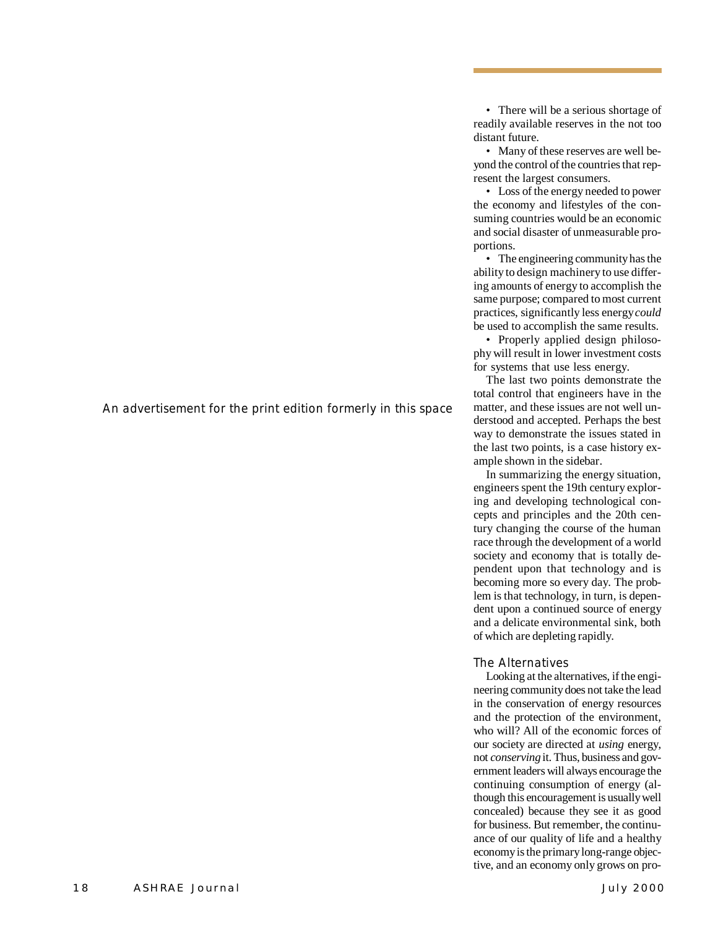*An advertisement for the print edition formerly in this space*

• There will be a serious shortage of readily available reserves in the not too distant future.

• Many of these reserves are well beyond the control of the countries that represent the largest consumers.

• Loss of the energy needed to power the economy and lifestyles of the consuming countries would be an economic and social disaster of unmeasurable proportions.

• The engineering community has the ability to design machinery to use differing amounts of energy to accomplish the same purpose; compared to most current practices, significantly less energy *could* be used to accomplish the same results.

• Properly applied design philosophy will result in lower investment costs for systems that use less energy.

The last two points demonstrate the total control that engineers have in the matter, and these issues are not well understood and accepted. Perhaps the best way to demonstrate the issues stated in the last two points, is a case history example shown in the sidebar.

In summarizing the energy situation, engineers spent the 19th century exploring and developing technological concepts and principles and the 20th century changing the course of the human race through the development of a world society and economy that is totally dependent upon that technology and is becoming more so every day. The problem is that technology, in turn, is dependent upon a continued source of energy and a delicate environmental sink, both of which are depleting rapidly.

# *The Alternatives*

Looking at the alternatives, if the engineering community does not take the lead in the conservation of energy resources and the protection of the environment, who will? All of the economic forces of our society are directed at *using* energy, not *conserving* it. Thus, business and government leaders will always encourage the continuing consumption of energy (although this encouragement is usually well concealed) because they see it as good for business. But remember, the continuance of our quality of life and a healthy economy is the primary long-range objective, and an economy only grows on pro-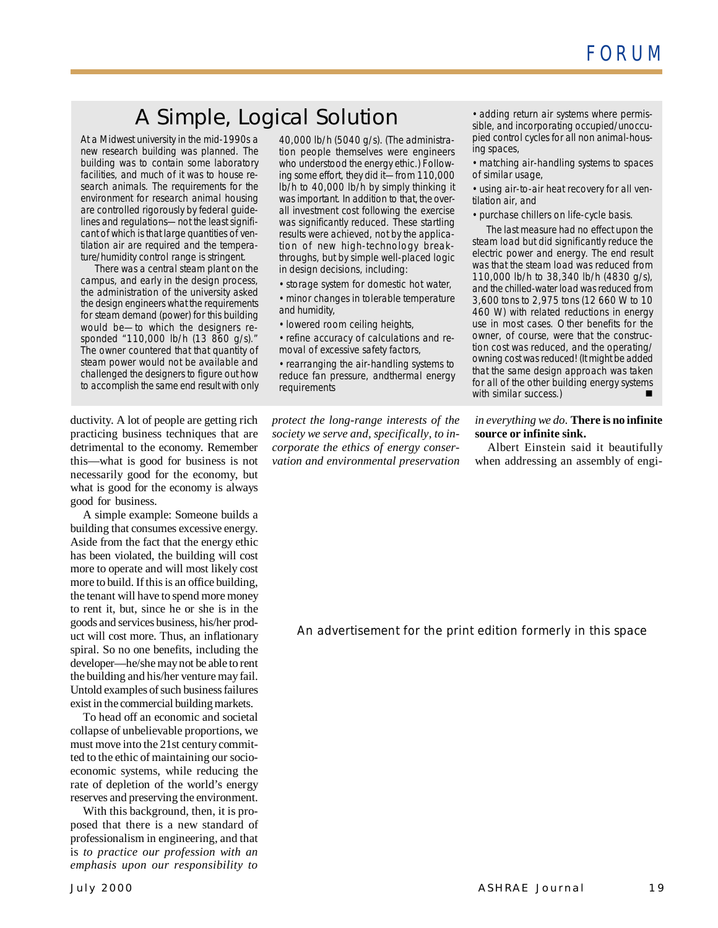# A Simple, Logical Solution

At a Midwest university in the mid-1990s a new research building was planned. The building was to contain some laboratory facilities, and much of it was to house research animals. The requirements for the environment for research animal housing are controlled rigorously by federal guidelines and regulations— not the least significant of which is that large quantities of ventilation air are required and the temperature/humidity control range is stringent.

There was a central steam plant on the campus, and early in the design process, the administration of the university asked the design engineers what the requirements for steam demand (power) for this building would be— to which the designers responded "110,000 lb/h (13 860 g/s)." The owner countered that that quantity of steam power would not be available and challenged the designers to figure out how to accomplish the same end result with only

ductivity. A lot of people are getting rich practicing business techniques that are detrimental to the economy. Remember this— what is good for business is not necessarily good for the economy, but what is good for the economy is always good for business.

A simple example: Someone builds a building that consumes excessive energy. Aside from the fact that the energy ethic has been violated, the building will cost more to operate and will most likely cost more to build. If this is an office building, the tenant will have to spend more money to rent it, but, since he or she is in the goods and services business, his/her product will cost more. Thus, an inflationary spiral. So no one benefits, including the developer— he/she may not be able to rent the building and his/her venture may fail. Untold examples of such business failures exist in the commercial building markets.

To head off an economic and societal collapse of unbelievable proportions, we must move into the 21st century committed to the ethic of maintaining our socioeconomic systems, while reducing the rate of depletion of the world's energy reserves and preserving the environment.

With this background, then, it is proposed that there is a new standard of professionalism in engineering, and that is *to practice our profession with an emphasis upon our responsibility to*

40,000 lb/h (5040 g/s). (The administration people themselves were engineers who understood the energy ethic.) Following some effort, they did it—from 110,000 lb/h to 40,000 lb/h by simply thinking it was important. In addition to that, *the overall investment cost following the exercise was significantly reduced*. These startling results were achieved, not by the application of new high-technology breakthroughs, but by simple well-placed logic in design decisions, including:

•storage system for domestic hot water, •minor changes in tolerable temperature and humidity,

•lowered room ceiling heights,

•refine accuracy of calculations and removal of excessive safety factors,

•rearranging the air-handling systems to reduce fan pressure, andthermal energy requirements

*protect the long-range interests of the society we serve and, specifically, to incorporate the ethics of energy conservation and environmental preservation*

•adding return air systems where permissible, and incorporating occupied/unoccupied control cycles for all non animal-housing spaces,

•matching air-handling systems to spaces of similar usage,

•using air-to-air heat recovery for all ventilation air, and

•purchase chillers on life-cycle basis.

The last measure had no effect upon the steam load but did significantly reduce the electric power and energy. The end result was that the steam load was reduced from 110,000 lb/h to 38,340 lb/h (4830 g/s), and the chilled-water load was reduced from 3,600 tons to 2,975 tons (12 660 W to 10 460 W) with related reductions in energy use in most cases. Other benefits for the owner, of course, were that the construction cost was reduced, and the operating/ owning cost was reduced! (It might be added that the same design approach was taken for all of the other building energy systems with similar success.)

## *in everything we do*. **There is no infinite source or infinite sink.**

Albert Einstein said it beautifully when addressing an assembly of engi-

*An advertisement for the print edition formerly in this space*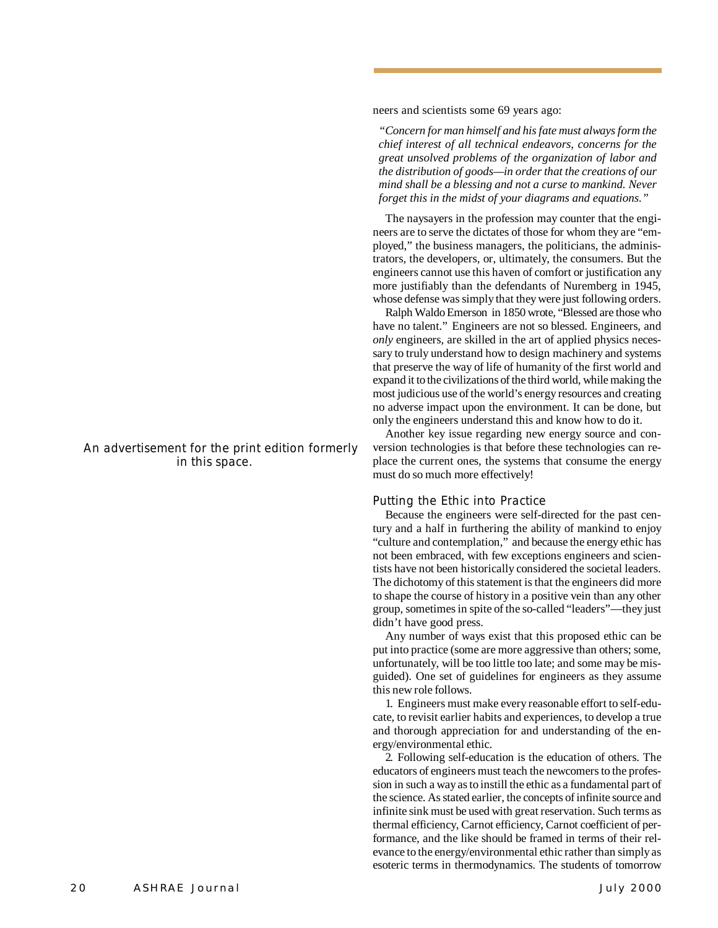*in this space.*

*An advertisement for the print edition formerly*

neers and scientists some 69 years ago:

*"Concern for man himself and his fate must always form the chief interest of all technical endeavors, concerns for the great unsolved problems of the organization of labor and the distribution of goods— in order that the creations of our mind shall be a blessing and not a curse to mankind. Never forget this in the midst of your diagrams and equations."*

The naysayers in the profession may counter that the engineers are to serve the dictates of those for whom they are "employed," the business managers, the politicians, the administrators, the developers, or, ultimately, the consumers. But the engineers cannot use this haven of comfort or justification any more justifiably than the defendants of Nuremberg in 1945, whose defense was simply that they were just following orders.

Ralph Waldo Emerson in 1850 wrote, "Blessed are those who have no talent." Engineers are not so blessed. Engineers, and *only* engineers, are skilled in the art of applied physics necessary to truly understand how to design machinery and systems that preserve the way of life of humanity of the first world and expand it to the civilizations of the third world, while making the most judicious use of the world's energy resources and creating no adverse impact upon the environment. It can be done, but only the engineers understand this and know how to do it.

Another key issue regarding new energy source and conversion technologies is that before these technologies can replace the current ones, the systems that consume the energy must do so much more effectively!

## *Putting the Ethic into Practice*

Because the engineers were self-directed for the past century and a half in furthering the ability of mankind to enjoy "culture and contemplation," and because the energy ethic has not been embraced, with few exceptions engineers and scientists have not been historically considered the societal leaders. The dichotomy of this statement is that the engineers did more to shape the course of history in a positive vein than any other group, sometimes in spite of the so-called "leaders"— they just didn't have good press.

Any number of ways exist that this proposed ethic can be put into practice (some are more aggressive than others; some, unfortunately, will be too little too late; and some may be misguided). One set of guidelines for engineers as they assume this new role follows.

1. Engineers must make every reasonable effort to self-educate, to revisit earlier habits and experiences, to develop a true and thorough appreciation for and understanding of the energy/environmental ethic.

2. Following self-education is the education of others. The educators of engineers must teach the newcomers to the profession in such a way as to instill the ethic as a fundamental part of the science. As stated earlier, the concepts of infinite source and infinite sink must be used with great reservation. Such terms as thermal efficiency, Carnot efficiency, Carnot coefficient of performance, and the like should be framed in terms of their relevance to the energy/environmental ethic rather than simply as esoteric terms in thermodynamics. The students of tomorrow